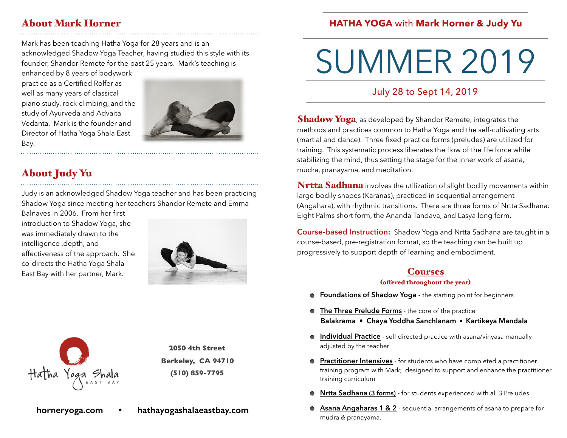## About Mark Horner

Mark has been teaching Hatha Yoga for 28 years and is an acknowledged Shadow Yoga Teacher, having studied this style with its founder, Shandor Remete for the past 25 years. Mark's teaching is

enhanced by 8 years of bodywork practice as a Certified Rolfer as well as many years of classical piano study, rock climbing, and the study of Ayurveda and Advaita Vedanta. Mark is the founder and Director of Hatha Yoga Shala East Bay.



# About Judy Yu

Judy is an acknowledged Shadow Yoga teacher and has been practicing Shadow Yoga since meeting her teachers Shandor Remete and Emma

**[horneryoga.com](http://horneryoga.com) • [hathayogashalaeastbay.com](http://hathayogashalaeastbay.com)**

Balnaves in 2006. From her first introduction to Shadow Yoga, she was immediately drawn to the intelligence ,depth, and effectiveness of the approach. She co-directs the Hatha Yoga Shala East Bay with her partner, Mark.





**2050 4th Street Berkeley, CA 94710 (510) 859-7795**

mudra, pranayama, and meditation.

**Nrtta Sadhana** involves the utilization of slight bodily movements within large bodily shapes (Karanas), practiced in sequential arrangement (Angahara), with rhythmic transitions. There are three forms of Nrtta Sadhana: Eight Palms short form, the Ananda Tandava, and Lasya long form.

**Shadow Yoga**, as developed by Shandor Remete, integrates the methods and practices common to Hatha Yoga and the self-cultivating arts (martial and dance). Three fixed practice forms (preludes) are utilized for training. This systematic process liberates the flow of the life force while stabilizing the mind, thus setting the stage for the inner work of asana,

**Course-based Instruction:** Shadow Yoga and Nrtta Sadhana are taught in a course-based, pre-registration format, so the teaching can be built up progressively to support depth of learning and embodiment.

### **Courses**

#### (ofered throughout the year)

- **Foundations of Shadow Yoga** the starting point for beginners
- **The Three Prelude Forms** the core of the practice **Balakrama • Chaya Yoddha Sanchlanam • Kartikeya Mandala**
- **Individual Practice** self directed practice with asana/vinyasa manually adjusted by the teacher
- **Practitioner Intensives** for students who have completed a practitioner training program with Mark; designed to support and enhance the practitioner training curriculum
- **Nrtta Sadhana (3 forms) -** for students experienced with all 3 Preludes
- **Asana Angaharas 1 & 2** sequential arrangements of asana to prepare for mudra & pranayama.

## **HATHA YOGA** with **Mark Horner & Judy Yu**

SUMMER 2019

July 28 to Sept 14, 2019